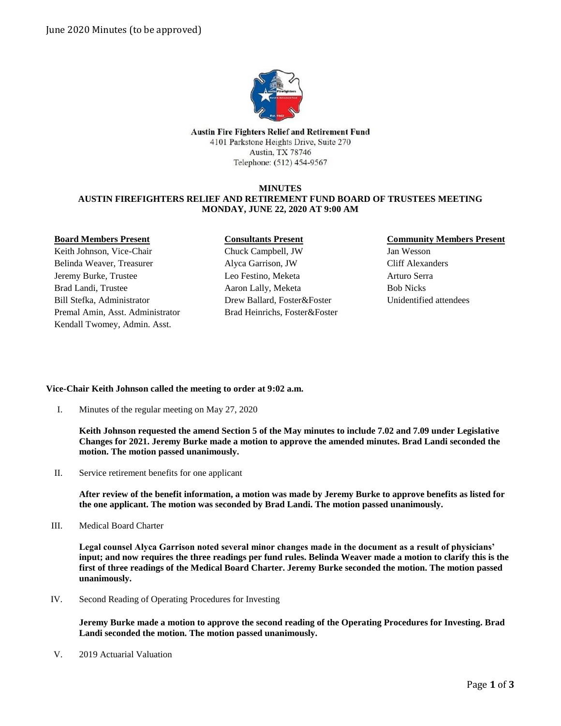

Austin Fire Fighters Relief and Retirement Fund 4101 Parkstone Heights Drive, Suite 270 Austin, TX 78746 Telephone: (512) 454-9567

## **MINUTES AUSTIN FIREFIGHTERS RELIEF AND RETIREMENT FUND BOARD OF TRUSTEES MEETING MONDAY, JUNE 22, 2020 AT 9:00 AM**

#### **Board Members Present**

Keith Johnson, Vice-Chair Belinda Weaver, Treasurer Jeremy Burke, Trustee Brad Landi, Trustee Bill Stefka, Administrator Premal Amin, Asst. Administrator Kendall Twomey, Admin. Asst.

# **Consultants Present**

Chuck Campbell, JW Alyca Garrison, JW Leo Festino, Meketa Aaron Lally, Meketa Drew Ballard, Foster&Foster Brad Heinrichs, Foster&Foster

# **Community Members Present**

Jan Wesson Cliff Alexanders Arturo Serra Bob Nicks Unidentified attendees

## **Vice-Chair Keith Johnson called the meeting to order at 9:02 a.m.**

I. Minutes of the regular meeting on May 27, 2020

**Keith Johnson requested the amend Section 5 of the May minutes to include 7.02 and 7.09 under Legislative Changes for 2021. Jeremy Burke made a motion to approve the amended minutes. Brad Landi seconded the motion. The motion passed unanimously.** 

II. Service retirement benefits for one applicant

**After review of the benefit information, a motion was made by Jeremy Burke to approve benefits as listed for the one applicant. The motion was seconded by Brad Landi. The motion passed unanimously.**

III. Medical Board Charter

**Legal counsel Alyca Garrison noted several minor changes made in the document as a result of physicians' input; and now requires the three readings per fund rules. Belinda Weaver made a motion to clarify this is the first of three readings of the Medical Board Charter. Jeremy Burke seconded the motion. The motion passed unanimously.**

IV. Second Reading of Operating Procedures for Investing

**Jeremy Burke made a motion to approve the second reading of the Operating Procedures for Investing. Brad Landi seconded the motion. The motion passed unanimously.**

V. 2019 Actuarial Valuation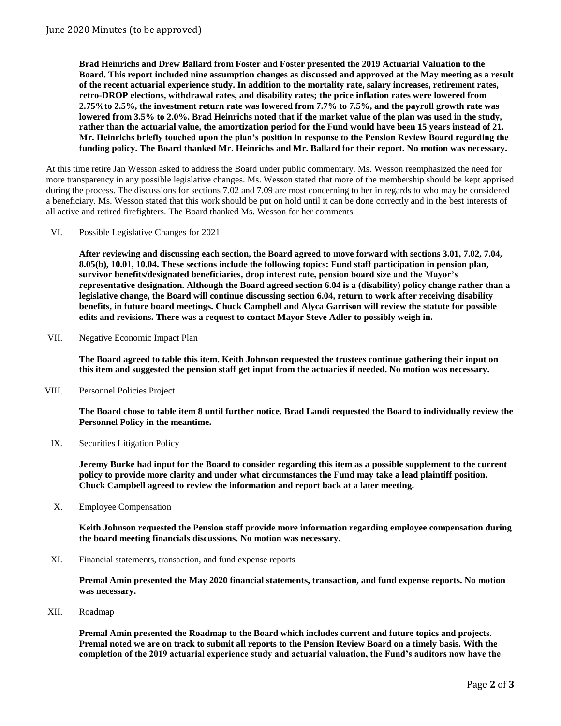**Brad Heinrichs and Drew Ballard from Foster and Foster presented the 2019 Actuarial Valuation to the Board. This report included nine assumption changes as discussed and approved at the May meeting as a result of the recent actuarial experience study. In addition to the mortality rate, salary increases, retirement rates, retro-DROP elections, withdrawal rates, and disability rates; the price inflation rates were lowered from 2.75%to 2.5%, the investment return rate was lowered from 7.7% to 7.5%, and the payroll growth rate was lowered from 3.5% to 2.0%. Brad Heinrichs noted that if the market value of the plan was used in the study, rather than the actuarial value, the amortization period for the Fund would have been 15 years instead of 21. Mr. Heinrichs briefly touched upon the plan's position in response to the Pension Review Board regarding the funding policy. The Board thanked Mr. Heinrichs and Mr. Ballard for their report. No motion was necessary.**

At this time retire Jan Wesson asked to address the Board under public commentary. Ms. Wesson reemphasized the need for more transparency in any possible legislative changes. Ms. Wesson stated that more of the membership should be kept apprised during the process. The discussions for sections 7.02 and 7.09 are most concerning to her in regards to who may be considered a beneficiary. Ms. Wesson stated that this work should be put on hold until it can be done correctly and in the best interests of all active and retired firefighters. The Board thanked Ms. Wesson for her comments.

VI. Possible Legislative Changes for 2021

**After reviewing and discussing each section, the Board agreed to move forward with sections 3.01, 7.02, 7.04, 8.05(b), 10.01, 10.04. These sections include the following topics: Fund staff participation in pension plan, survivor benefits/designated beneficiaries, drop interest rate, pension board size and the Mayor's representative designation. Although the Board agreed section 6.04 is a (disability) policy change rather than a legislative change, the Board will continue discussing section 6.04, return to work after receiving disability benefits, in future board meetings. Chuck Campbell and Alyca Garrison will review the statute for possible edits and revisions. There was a request to contact Mayor Steve Adler to possibly weigh in.**

VII. Negative Economic Impact Plan

**The Board agreed to table this item. Keith Johnson requested the trustees continue gathering their input on this item and suggested the pension staff get input from the actuaries if needed. No motion was necessary.**

VIII. Personnel Policies Project

**The Board chose to table item 8 until further notice. Brad Landi requested the Board to individually review the Personnel Policy in the meantime.**

IX. Securities Litigation Policy

**Jeremy Burke had input for the Board to consider regarding this item as a possible supplement to the current policy to provide more clarity and under what circumstances the Fund may take a lead plaintiff position. Chuck Campbell agreed to review the information and report back at a later meeting.**

X. Employee Compensation

**Keith Johnson requested the Pension staff provide more information regarding employee compensation during the board meeting financials discussions. No motion was necessary.** 

XI. Financial statements, transaction, and fund expense reports

**Premal Amin presented the May 2020 financial statements, transaction, and fund expense reports. No motion was necessary.**

XII. Roadmap

**Premal Amin presented the Roadmap to the Board which includes current and future topics and projects. Premal noted we are on track to submit all reports to the Pension Review Board on a timely basis. With the completion of the 2019 actuarial experience study and actuarial valuation, the Fund's auditors now have the**